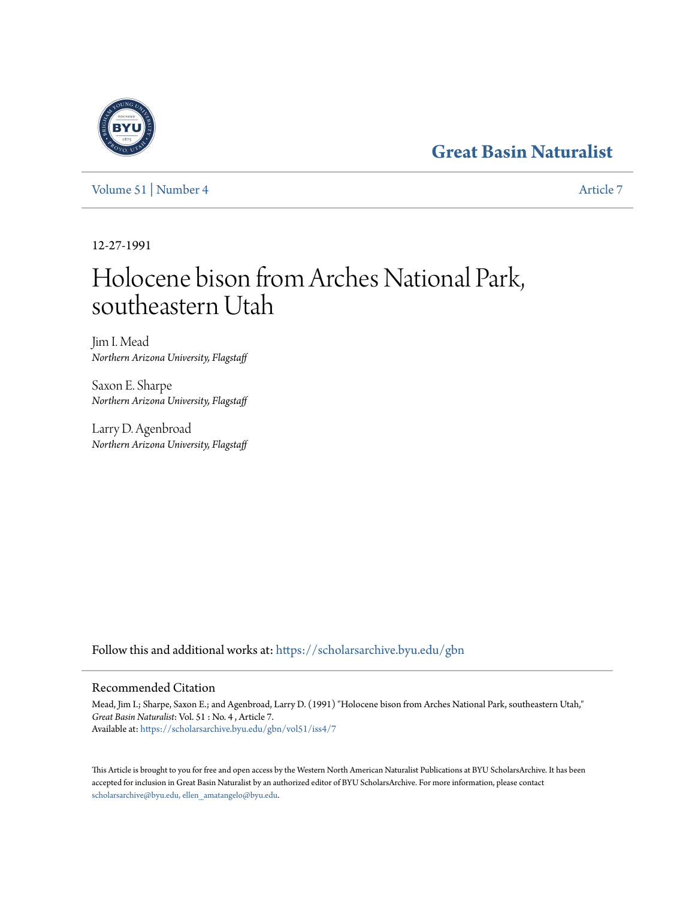# **[Great Basin Naturalist](https://scholarsarchive.byu.edu/gbn?utm_source=scholarsarchive.byu.edu%2Fgbn%2Fvol51%2Fiss4%2F7&utm_medium=PDF&utm_campaign=PDFCoverPages)**

[Volume 51](https://scholarsarchive.byu.edu/gbn/vol51?utm_source=scholarsarchive.byu.edu%2Fgbn%2Fvol51%2Fiss4%2F7&utm_medium=PDF&utm_campaign=PDFCoverPages) | [Number 4](https://scholarsarchive.byu.edu/gbn/vol51/iss4?utm_source=scholarsarchive.byu.edu%2Fgbn%2Fvol51%2Fiss4%2F7&utm_medium=PDF&utm_campaign=PDFCoverPages) [Article 7](https://scholarsarchive.byu.edu/gbn/vol51/iss4/7?utm_source=scholarsarchive.byu.edu%2Fgbn%2Fvol51%2Fiss4%2F7&utm_medium=PDF&utm_campaign=PDFCoverPages)

12-27-1991

# Holocene bison from Arches National Park, southeastern Utah

Jim I. Mead *Northern Arizona University, Flagstaff*

Saxon E. Sharpe *Northern Arizona University, Flagstaff*

Larry D. Agenbroad *Northern Arizona University, Flagstaff*

Follow this and additional works at: [https://scholarsarchive.byu.edu/gbn](https://scholarsarchive.byu.edu/gbn?utm_source=scholarsarchive.byu.edu%2Fgbn%2Fvol51%2Fiss4%2F7&utm_medium=PDF&utm_campaign=PDFCoverPages)

## Recommended Citation

Mead, Jim I.; Sharpe, Saxon E.; and Agenbroad, Larry D. (1991) "Holocene bison from Arches National Park, southeastern Utah," *Great Basin Naturalist*: Vol. 51 : No. 4 , Article 7. Available at: [https://scholarsarchive.byu.edu/gbn/vol51/iss4/7](https://scholarsarchive.byu.edu/gbn/vol51/iss4/7?utm_source=scholarsarchive.byu.edu%2Fgbn%2Fvol51%2Fiss4%2F7&utm_medium=PDF&utm_campaign=PDFCoverPages)

This Article is brought to you for free and open access by the Western North American Naturalist Publications at BYU ScholarsArchive. It has been accepted for inclusion in Great Basin Naturalist by an authorized editor of BYU ScholarsArchive. For more information, please contact [scholarsarchive@byu.edu, ellen\\_amatangelo@byu.edu.](mailto:scholarsarchive@byu.edu,%20ellen_amatangelo@byu.edu)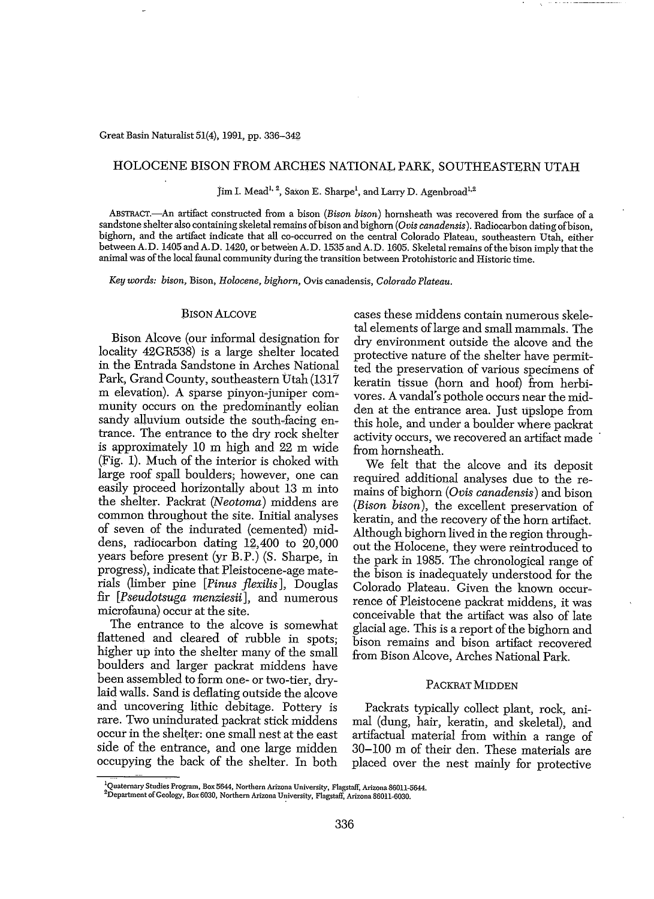### HOLOCENE BISON FROM ARCHES NATIONAL PARK, SOUTHEASTERN UTAH

Jim I. Mead<sup>1, 2</sup>, Saxon E. Sharpe<sup>1</sup>, and Larry D. Agenbroad<sup>1,2</sup>

ABSTRACT.-An artifact constructed from a bison *(Bison bison)* hornsheath was recovered from the surface of a sandstone shelter also containing skeletalremains ofbison and bighorn *(Ovis canadensis*). Radiocarbon dating ofbison, bighorn, and the artifact indicate that all co-occurred on the central Colorado Plateau, southeastern Utah, either between A.D. 1405 and A.D. 1420, or between A.D. 1535 and A.D. 1605. Skeletal remains of the bison imply that the animal was ofthe local faunal community during the transition between Protohistoric and Historic time.

*Key words: bison,* Bison, *Holocene, bighorn,* Ovis canadensis, *Colorado Plateau.*

#### BISON ALCOVE

Bison Alcove (our informal designation for locality 42GR538) is a large shelter located in the Entrada Sandstone in Arches National Park, Grand County, southeastern Utah (1317) m elevation). A sparse pinyon-juniper community occurs on the predominantly eolian sandy alluvium outside the south-facing entrance. The entrance to the dry rock shelter is approximately 10 m high and 22 m wide (Fig. 1). Much of the interior is choked with large roof spall boulders; however, one can easily proceed horizontally about 13 m into the shelter. Packrat *(Neotoma)* middens are common throughout the site. Initial analyses of seven of the indurated (cemented) middens, radiocarbon dating 12,400 to 20,000 years before present (yr B.P.) (S. Sharpe, in progress), indicate that Pleistocene-age materials (limber pine *[Pinus jlexilis],* Douglas fir *[Pseudotsuga menziesii],* and numerous microfauna) occur at the site.

The entrance to the alcove is somewhat flattened and cleared of rubble in spots: higher up into the shelter many of the small boulders and larger packrat middens have been assembled to form one- or two-tier, drylaid walls. Sand is deflating outside the alcove and uncovering lithic debitage. Pottery is rare. Two unindurated packrat stick middens occur in the shelter: one small nest at the east side of the entrance, and one large midden occupying the back of the shelter. In both cases these middens contain numerous skele~ tal elements oflarge and small mammals. The dry environment outside the alcove and the protective nature of the shelter have permitted the preservation of various specimens of keratin tissue (horn and hoof) from herbivores. A vandal's pothole occurs near the midden at the entrance area. Just upslope from this hole, and under a boulder where packrat activity occurs, we recovered an artifact made from hornsheath.

We felt that the alcove and its deposit required additional analyses due to the remains ofbighorn *(Ovis canadensis)* and bison *(Bison bison),* the excellent preservation of keratin, and the recovery of the horn artifact. Although bighorn lived in the region through~ out the Holocene, they were reintroduced to the park in 1985. The chronological range of the bison is inadequately understood for the Colorado Plateau. Given the known occurrence of Pleistocene packrat middens, it was conceivable that the artifact was also of late glacial age. This is a report of the bighorn and bison remains and bison artifact recovered from Bison Alcove, Arches National Park.

#### PACKRAT MIDDEN

Packrats typically collect plant, rock, animal (dung, hair, keratin, and skeletal), and artifactual material from within a range of 30-100 m of their den. These materials are placed over the nest mainly for protective

**lQuatemary Studies Program, Box: 5644, Northern Arizona University, Flagstaff, Arizona 86011-5644.** 2Department of Geology, Box 6030, Northern Arizona University, Flagstaff, Arizona 86011-6030.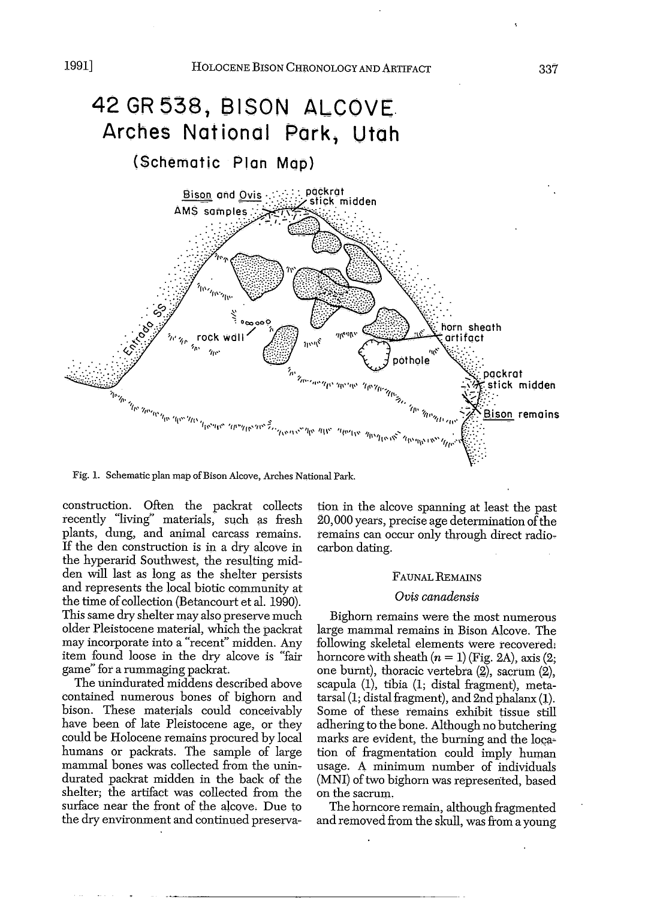

Fig. 1. Schematic plan map of Bison Alcove, Arches National Park.

construction. Often the packrat collects recently "living" materials, such as fresh plants, dung, and animal carcass remains. If the den construction is in a dry alcove in the hyperarid Southwest, the resulting midden will last as long as the shelter persists and represents the local biotic community at the time of collection (Betancourt et al. 1990). This same dry shelter may also preserve much older Pleistocene material, which the packrat may incorporate into a "recent" midden. Any item found loose in the dry alcove is "fair game" for a rummaging packrat.

The unindurated middens described above contained numerous bones of bighorn and bison. These materials could conceivably have been of late Pleistocene age, or they could be Holocene remains procured by local humans or packrats. The sample of large mammal bones was collected from the unindurated packrat midden in the back of the shelter; the artifact was collected from the surface near the front of the alcove, Due to the dry environment and continued preservation in the alcove spanning at least the past 20,000 years, precise age determination of the remains can occur only through direct radiocarbon dating.

#### FAUNAL REMAINS

#### *Ovis canadensis*

Bighorn remains were the most numerous large mammal remains in Bison Alcove. The following skeletal elements were recovered. horncore with sheath  $(n = 1)$  (Fig. 2A), axis  $(2;$ one burnt), thoracic vertebra (2), sacrum (2), scapula (1), tibia (1; distal fragment), metatarsal (1; distal fragment), and 2nd phalanx (1). Some of these remains exhibit tissue still adhering to the bone. Although no butchering marks are evident, the burning and the location of fragmentation could imply human usage. A minimum number of individuals (MNI) of two bighorn was represented, based on the sacrum.

The horncore remain, although fragmented and removed from the skull, was from a young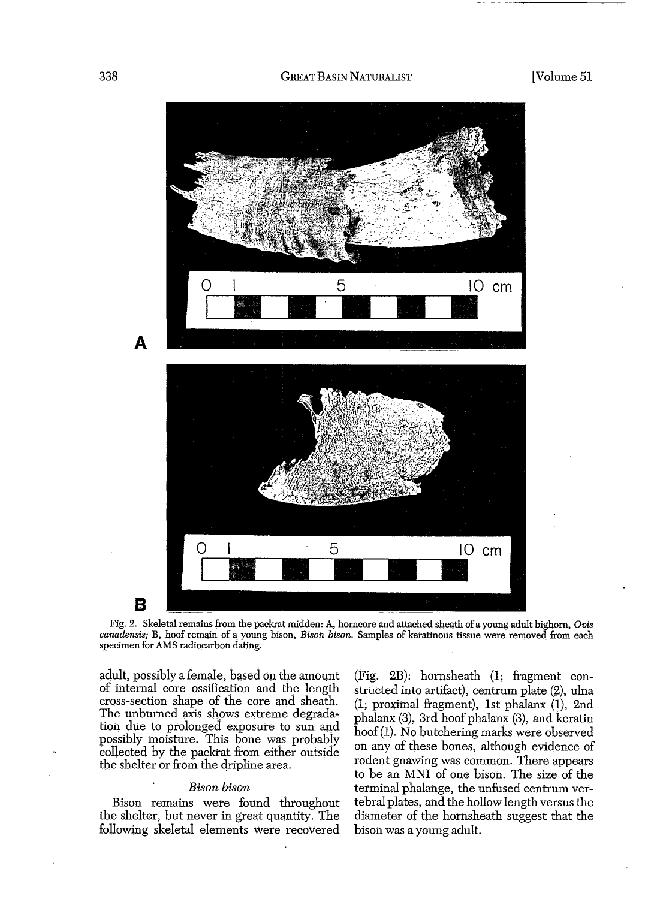

Fig. 2. Skeletal remains from the packrat midden: A, hotncote and attached sheath ofa young adult bighorn, *Ovis canadensis;* B, hoof remain of a young bison, *Bison bison.* Samples of keratinous tissue were removed from each specimen for AMS radiocarbon dating.

adult, possibly a female, based on the amount of internal core ossification and the length cross-section shape of the core and sheath. The unburned axis shows extreme degrada~ tion due to prolonged exposure to sun and possibly moisture. This bone was probably collected by the packrat from either outside the shelter or from the dripline area.

#### *Bison bison*

Bison remains wete found throughout the shelter, but never in great quantity. The following skeletal elements Were recovered (Fig. 2B): hornsheath (1; fragment constructed into artifact), centrum plate  $(2)$ , ulna  $(1; proximal fragment)$ , 1st phalanx  $(1)$ , 2nd phalanx (3), 3rd hoof phalanx (3), and keratin hoof(1). No butchering marks were observed on any of these bones, although evidence of rodent gnawing was common. There appears to be an MNI of one bison. The size of the terminal phalange, the unfused centrum vertebral plates, and the hollow length versus the diameter of the homsheath suggest that the bison was a young adult.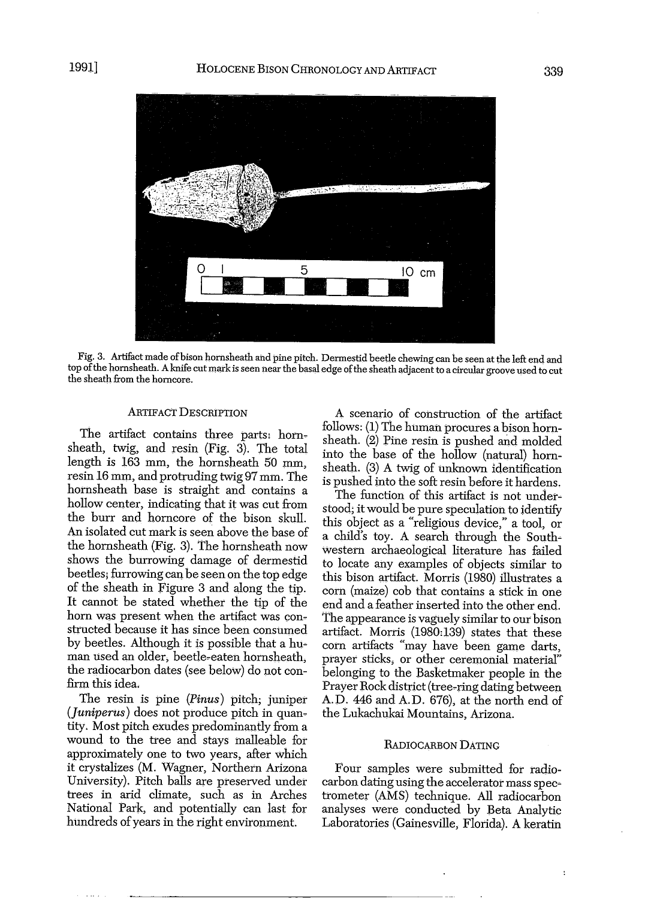

Fig. 3. Artifact made of bison hornsheath and pine pitch. Dermestid beetle chewing can be seen at the left end and top of the hornsheath. A knife cut mark is seen near the basal edge of the sheath adjacent to a circular groove used to cut the sheath from the horncore.

#### ARTIFACt DESCRIPTION

The artifact contains three parts: hornsheath, twig, and resin (Fig. 3). The total length is 163 mm, the hornsheath 50 mm, resin 16 mm, and protruding twig 97 *mm.* The hornsheath base is straight and contains a hollow center, indicating that it was cut from the burr and horncore of the bison skull. An isolated cut mark is seen above the base of the hornsheath (Fig. 3). The hornsheath now shows the burrowing damage of dermestid beetles; furrowing can be seen on the top edge of the sheath in Figure 3 and along the tip. It cannot be stated whether the tip of the horn was present when the artifact was constructed because it has since been consumed by beetles. Although it is possible that a hu~ man used an older, beetle-eaten hornsheath, the radiocarbon dates (see below) do not confirm this idea.

The resin is pine *(Pinus)* pitch; juniper *(Juniperus)* does not produce pitch in quan~ tity. Most pitch exudes predominantly from a wound to the tree and stays malleable for approximately one to two years, after which it crystalizes (M. Wagner, Northern Arizona University). Pitch balls are preserved under trees in arid climate, such as in Arches National Park, and potentially can last for hundreds of years in the right environment.

A scenario of construction of the artifact follows: (1) The human procures a bison hornsheath. (2) Pine resin is pushed and molded into the base of the hollow (natural) hornsheath.  $(3)$  A twig of unknown identification is pushed into the soft resin before it hardens.

The function of this artifact is not understood; it would be pure speculation to identify this object as a "religious device," a tool, or a child's toy. A search through the South-Western archaeological literature has failed to locate any examples of objects similar to this bison artifact. Morris (1980) illustrates a corn (maize) cob that contains a stick in one end and a feather inserted into the other end. the appearance is vaguely similar to our bison artifact. Morris (1980:139) states that these corn artifacts "may have been game darts, prayer sticks, or other ceremonial material" belonging to the Basketmaker people in the Prayer Rock district (tree-ring dating between A.D. 446 and A.D. 676), at the north end of the Lukachukai Mountains, Arizona.

#### RADIOCARBON DATING

Four samples were submitted for radiocarbon dating using the accelerator mass spec~ trometer (AMS) technique. All radiocarbon analyses were conducted by Beta Analytic Laboratories (Gainesville, Florida). A keratin

 $\ddot{\phantom{a}}$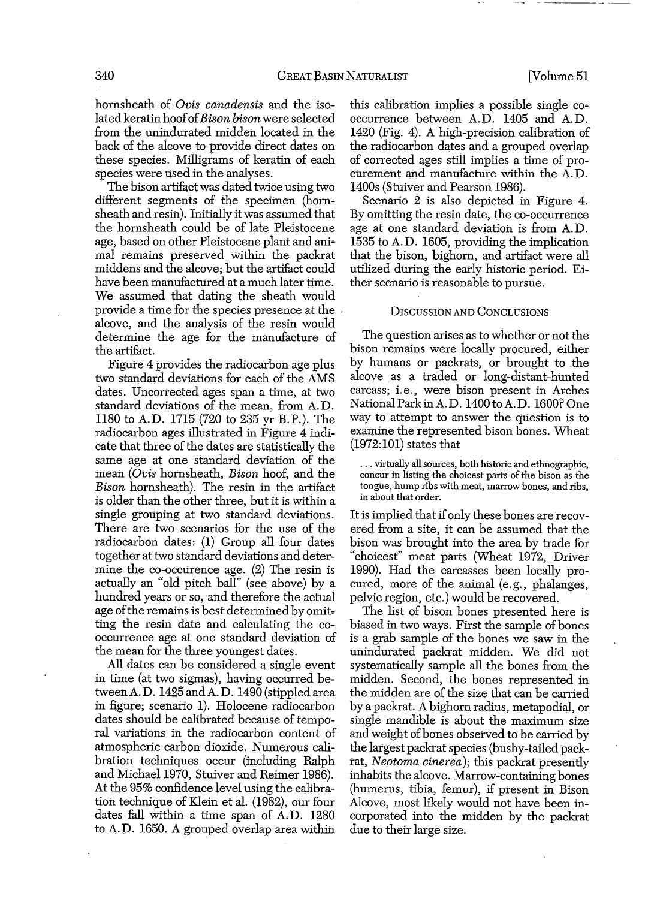hornsheath of *Ovis canadensis* and the isolated keratin hoofof*Bison bison* were selected from the unindurated midden located in the back of the alcove to provide direct dates on these species. Milligrams of keratin of each species were used in the analyses.

The bison artifact was dated twice using two different segments of the specimen (hornsheath and resin). Initially it was assumed that the hornsheath could be of late Pleistocene age, based on other Pleistocene plant and ani= mal remains preserved Within the packrat middens and the alcove; but the artifact could have been manufactured at a much later time. We assumed that dating the sheath would provide a time for the species presence at the ' alcove, and the analysis of the resin would determine the age for the manufacture of the artifact.

Figure 4 provides the radiocarbon age plus two standard deviations for each of the AMS dates. Uncorrected ages span a time, at two standard deviations of the mean, from A.D. 1180 to A.D. 1715 (720 to 235 yr B.P.). The radiocarbon ages illustrated in Figure 4 indicate that three of the dates are statistically the same age at one standard deviation of the mean *(Ovis* hornsheath, *Bison* hoof, and the *Bison* hornsheath). The resin in the artifact is older than the other three, but it is within a single grouping at two standard deviations. There are two scenarios for the use of the radiocarbon dates: (1) Group all four dates together at two standard deviations and determine the co-occurence age. (2) The resin is actually an "old pitch ball" (see above) by a hundred years or so, and therefore the actual age of the remains is best determined by omitting the resin date and calculating the cooccurrence age at one standard deviation of the mean for the three youngest dates.

All dates can be considered a single event in time (at two sigmas), having occurred betweenA.D. 1425 and A.D. 1490 (stippled area in figure; scenario 1). Holocene radiocarbon dates should be calibrated because of temporal variations in the radiocarbon content of atmospheric carbon dioxide. Numerous cali~ bration techniques occur (including Ralph and Michael 1970, Stuiver and Reimer 1986). At the 95% confidence level using the calibration technique of Klein et al. (1982), our four dates fall within a time span of A.D. 1280 to A.D. 1650. A grouped overlap area within

this calibration implies a possible single co= occurrence between A. D. 1405 and A. D. 1420 (Fig. 4). A high-precision calibration of the radiocarbon dates and a grouped overlap of corrected ages still implies a time of procurement and manufacture within the A.D. 1400s (Stuiver and Pearson 1986).

Scenario 2 is also depicted in Figure 4. By omitting the resin date, the co-occurrence age at one standard deviation is from A.D. 1535 to A.D. 1605, providing the implication that the bison, bighorn, and artifact were all utilized during the early historic period. Either scenario is reasonable to pursue.

#### DISCUSSION AND CONCLUSIONS

The question arises as to whether or not the bison remains were locally procured, either by humans or packrats, or brought to the alcove as a traded or long-distant-hunted carcass; i. e., were bison present in Arches National Park in A.D. 1400 to A.D. 1600? One way to attempt to answer the question is to examine the represented bison bones. Wheat  $(1972:101)$  states that

... virtually all sources, both historic and ethnographic, concur in listing the choicest parts of the bison as the tongue, hump ribs with meat, marrow bones, and ribs, in about that order.

It is implied that if only these bones are recovered from a site, it can be assumed that the bison was brought into the area by trade for "choicest" meat parts (Wheat 1972, Driver 1990). Had the carcasses been locally procured, more of the animal (e.g., phalanges, pelvic region, etc.) would be recovered.

The list of bison bones presented here is biased in two ways. First the sample of bones is a grab sample of the bones we saw in the unindurated packrat midden. We did not systematically sample all the bones from the midden. Second, the bones represented in the midden are of the size that can be carried by a packrat. A bighorn radius, metapodial, or single mandible is about the maximum size and weight of bones observed to be carried by the largest packrat species (bushy-tailed packrat, *Neotoma cinerea);* this packrat presently inhabits the alcove. Marrow-containing bones (humerus, tibia, femur), if present in Bison Alcove, most likely would not have been in= corporated into the midden by the packrat due to their large size.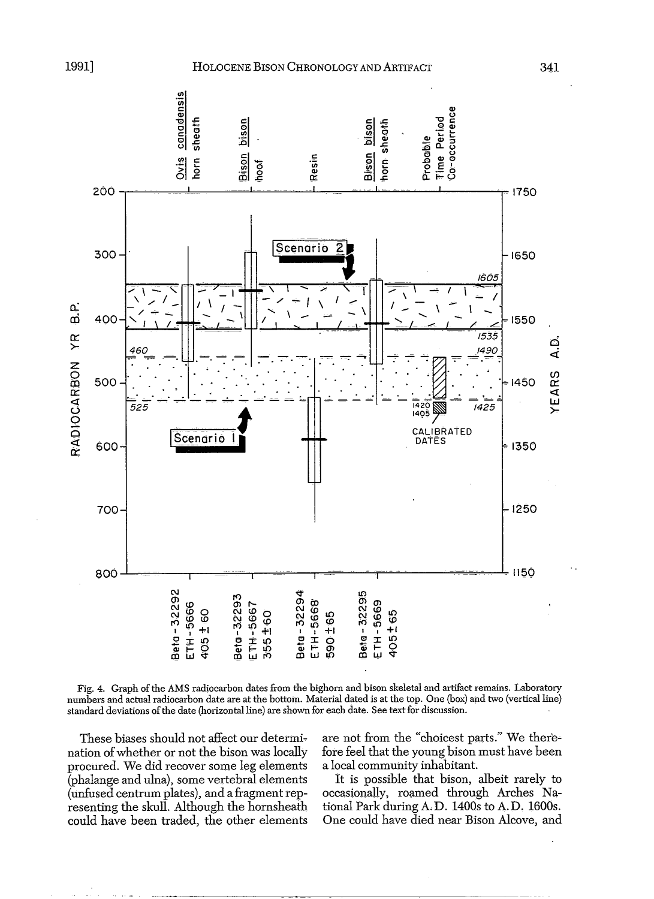bison

densis

cenar<br>Sheat o





Fig. 4. Graph of the AMS radiocarbon dates from the bighorn and bison skeletal and artifact remains. Laboratory numbers and actual radiocarbon date are at the bottom. Material dated is at the top. One (box) and two (vertical line) standard deviations ofthe date (horizontal line) are shown for each date. See text for discussion.

These biases should not affect our determi~ nation of whether or not the bison was locally procured. We did recover some leg elements (phalange and ulna), some vertebral elements (unfused centrum plates), and a fragment representing the skull. Although the hornsheath could have been traded, the other elements

are not from the "choicest parts." We there~ fore feel that the young bison must have been a local community inhabitant.

It is possible that bison, albeit rarely to occasionally, roamed through Arches National Park during A.D. 1400s to A.D. l600s. One could have died near Bison Alcove, and